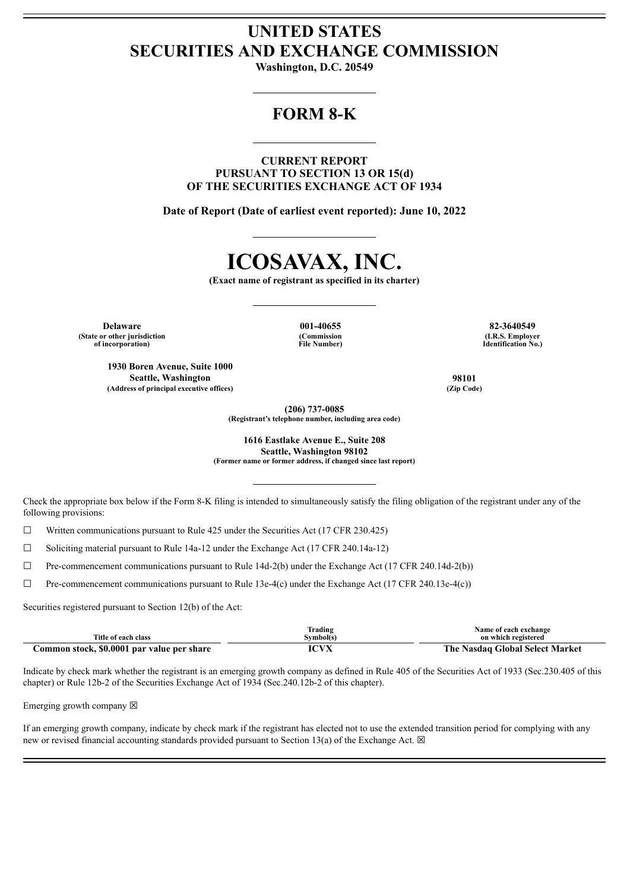## **UNITED STATES SECURITIES AND EXCHANGE COMMISSION**

**Washington, D.C. 20549**

## **FORM 8-K**

**CURRENT REPORT PURSUANT TO SECTION 13 OR 15(d) OF THE SECURITIES EXCHANGE ACT OF 1934**

**Date of Report (Date of earliest event reported): June 10, 2022**

## **ICOSAVAX, INC.**

**(Exact name of registrant as specified in its charter)**

**Delaware 001-40655 82-3640549 (State or other jurisdiction of incorporation)**

**1930 Boren Avenue, Suite 1000 Seattle, Washington 98101**<br> **Seattle, Washington 98101**<br> **Compared 198101 (Address of principal executive offices) (Zip Code)**

**(Commission File Number)**

**(I.R.S. Employer Identification No.)**

**(206) 737-0085 (Registrant's telephone number, including area code)**

**1616 Eastlake Avenue E., Suite 208 Seattle, Washington 98102 (Former name or former address, if changed since last report)**

Check the appropriate box below if the Form 8-K filing is intended to simultaneously satisfy the filing obligation of the registrant under any of the following provisions:

 $\Box$  Written communications pursuant to Rule 425 under the Securities Act (17 CFR 230.425)

☐ Soliciting material pursuant to Rule 14a-12 under the Exchange Act (17 CFR 240.14a-12)

 $\Box$  Pre-commencement communications pursuant to Rule 14d-2(b) under the Exchange Act (17 CFR 240.14d-2(b))

 $\Box$  Pre-commencement communications pursuant to Rule 13e-4(c) under the Exchange Act (17 CFR 240.13e-4(c))

Securities registered pursuant to Section 12(b) of the Act:

|                                            | Trading   | Name of each exchange           |
|--------------------------------------------|-----------|---------------------------------|
| Title of each class                        | Svmbol(s) | on which registered             |
| Common stock, \$0.0001 par value per share |           | The Nasdaq Global Select Market |

Indicate by check mark whether the registrant is an emerging growth company as defined in Rule 405 of the Securities Act of 1933 (Sec.230.405 of this chapter) or Rule 12b-2 of the Securities Exchange Act of 1934 (Sec.240.12b-2 of this chapter).

Emerging growth company  $\boxtimes$ 

If an emerging growth company, indicate by check mark if the registrant has elected not to use the extended transition period for complying with any new or revised financial accounting standards provided pursuant to Section 13(a) of the Exchange Act.  $\boxtimes$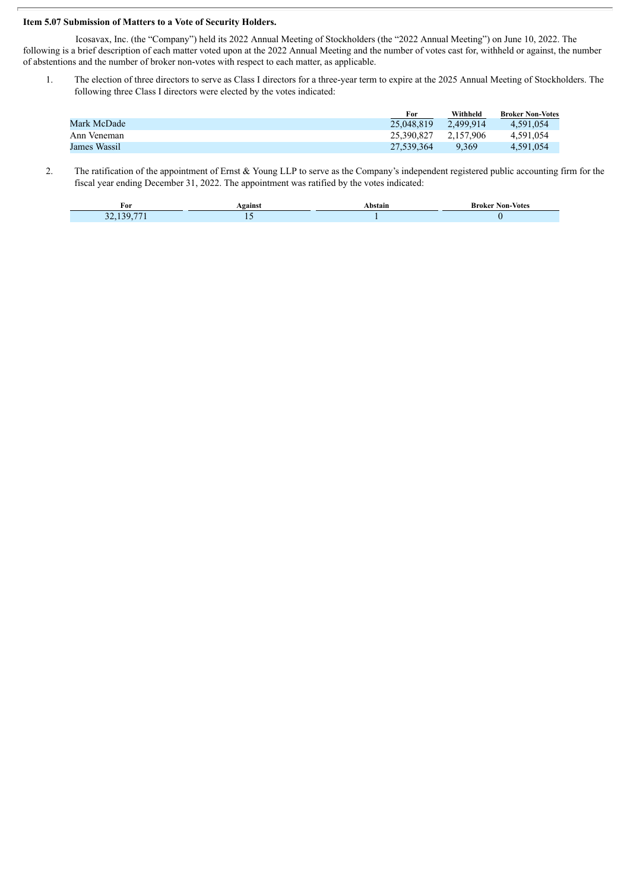## **Item 5.07 Submission of Matters to a Vote of Security Holders.**

Icosavax, Inc. (the "Company") held its 2022 Annual Meeting of Stockholders (the "2022 Annual Meeting") on June 10, 2022. The following is a brief description of each matter voted upon at the 2022 Annual Meeting and the number of votes cast for, withheld or against, the number of abstentions and the number of broker non-votes with respect to each matter, as applicable.

1. The election of three directors to serve as Class I directors for a three-year term to expire at the 2025 Annual Meeting of Stockholders. The following three Class I directors were elected by the votes indicated:

|              | For        | Withheld  | <b>Broker Non-Votes</b> |
|--------------|------------|-----------|-------------------------|
| Mark McDade  | 25,048,819 | 2.499.914 | 4.591.054               |
| Ann Veneman  | 25.390.827 | 2.157.906 | 4.591.054               |
| James Wassil | 27.539.364 | 9.369     | 4.591.054               |

2. The ratification of the appointment of Ernst & Young LLP to serve as the Company's independent registered public accounting firm for the fiscal year ending December 31, 2022. The appointment was ratified by the votes indicated:

| For                              | eains! | Non-<br>-Votes<br><b><i>PHOTE</i></b> |
|----------------------------------|--------|---------------------------------------|
| $- -$<br>$\sim$ $\sim$<br>$\sim$ | __     |                                       |